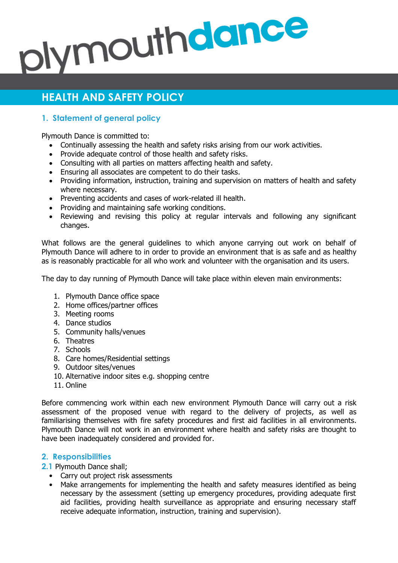# plymouthdance

# **HEALTH AND SAFETY POLICY**

## **1. Statement of general policy**

Plymouth Dance is committed to:

- Continually assessing the health and safety risks arising from our work activities.
- Provide adequate control of those health and safety risks.
- Consulting with all parties on matters affecting health and safety.
- Ensuring all associates are competent to do their tasks.
- Providing information, instruction, training and supervision on matters of health and safety where necessary.
- Preventing accidents and cases of work-related ill health.
- Providing and maintaining safe working conditions.
- Reviewing and revising this policy at regular intervals and following any significant changes.

What follows are the general guidelines to which anyone carrying out work on behalf of Plymouth Dance will adhere to in order to provide an environment that is as safe and as healthy as is reasonably practicable for all who work and volunteer with the organisation and its users.

The day to day running of Plymouth Dance will take place within eleven main environments:

- 1. Plymouth Dance office space
- 2. Home offices/partner offices
- 3. Meeting rooms
- 4. Dance studios
- 5. Community halls/venues
- 6. Theatres
- 7. Schools
- 8. Care homes/Residential settings
- 9. Outdoor sites/venues
- 10. Alternative indoor sites e.g. shopping centre
- 11. Online

Before commencing work within each new environment Plymouth Dance will carry out a risk assessment of the proposed venue with regard to the delivery of projects, as well as familiarising themselves with fire safety procedures and first aid facilities in all environments. Plymouth Dance will not work in an environment where health and safety risks are thought to have been inadequately considered and provided for.

### **2. Responsibilities**

- **2.1** Plymouth Dance shall;
	- Carry out project risk assessments
	- Make arrangements for implementing the health and safety measures identified as being necessary by the assessment (setting up emergency procedures, providing adequate first aid facilities, providing health surveillance as appropriate and ensuring necessary staff receive adequate information, instruction, training and supervision).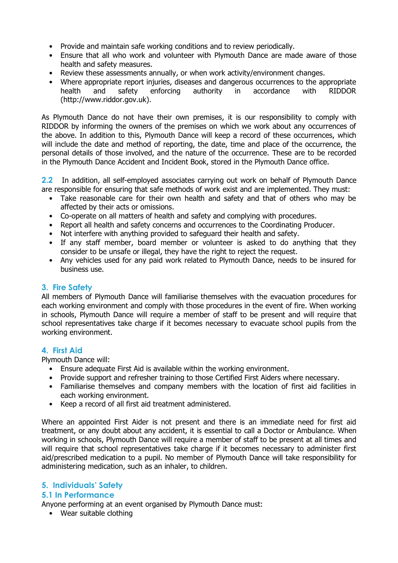- Provide and maintain safe working conditions and to review periodically.
- Ensure that all who work and volunteer with Plymouth Dance are made aware of those health and safety measures.
- Review these assessments annually, or when work activity/environment changes.
- Where appropriate report injuries, diseases and dangerous occurrences to the appropriate health and safety enforcing authority in accordance with RIDDOR [\(http://www.riddor.gov.uk\)](http://www.riddor.gov.uk/).

As Plymouth Dance do not have their own premises, it is our responsibility to comply with RIDDOR by informing the owners of the premises on which we work about any occurrences of the above. In addition to this, Plymouth Dance will keep a record of these occurrences, which will include the date and method of reporting, the date, time and place of the occurrence, the personal details of those involved, and the nature of the occurrence. These are to be recorded in the Plymouth Dance Accident and Incident Book, stored in the Plymouth Dance office.

**2.2** In addition, all self-employed associates carrying out work on behalf of Plymouth Dance are responsible for ensuring that safe methods of work exist and are implemented. They must:

- Take reasonable care for their own health and safety and that of others who may be affected by their acts or omissions.
- Co-operate on all matters of health and safety and complying with procedures.
- Report all health and safety concerns and occurrences to the Coordinating Producer.
- Not interfere with anything provided to safeguard their health and safety.
- If any staff member, board member or volunteer is asked to do anything that they consider to be unsafe or illegal, they have the right to reject the request.
- Any vehicles used for any paid work related to Plymouth Dance, needs to be insured for business use.

### **3. Fire Safety**

All members of Plymouth Dance will familiarise themselves with the evacuation procedures for each working environment and comply with those procedures in the event of fire. When working in schools, Plymouth Dance will require a member of staff to be present and will require that school representatives take charge if it becomes necessary to evacuate school pupils from the working environment.

### **4. First Aid**

Plymouth Dance will:

- Ensure adequate First Aid is available within the working environment.
- Provide support and refresher training to those Certified First Aiders where necessary.
- Familiarise themselves and company members with the location of first aid facilities in each working environment.
- Keep a record of all first aid treatment administered.

Where an appointed First Aider is not present and there is an immediate need for first aid treatment, or any doubt about any accident, it is essential to call a Doctor or Ambulance. When working in schools, Plymouth Dance will require a member of staff to be present at all times and will require that school representatives take charge if it becomes necessary to administer first aid/prescribed medication to a pupil. No member of Plymouth Dance will take responsibility for administering medication, such as an inhaler, to children.

### **5. Individuals' Safety**

### **5.1 In Performance**

Anyone performing at an event organised by Plymouth Dance must:

• Wear suitable clothing